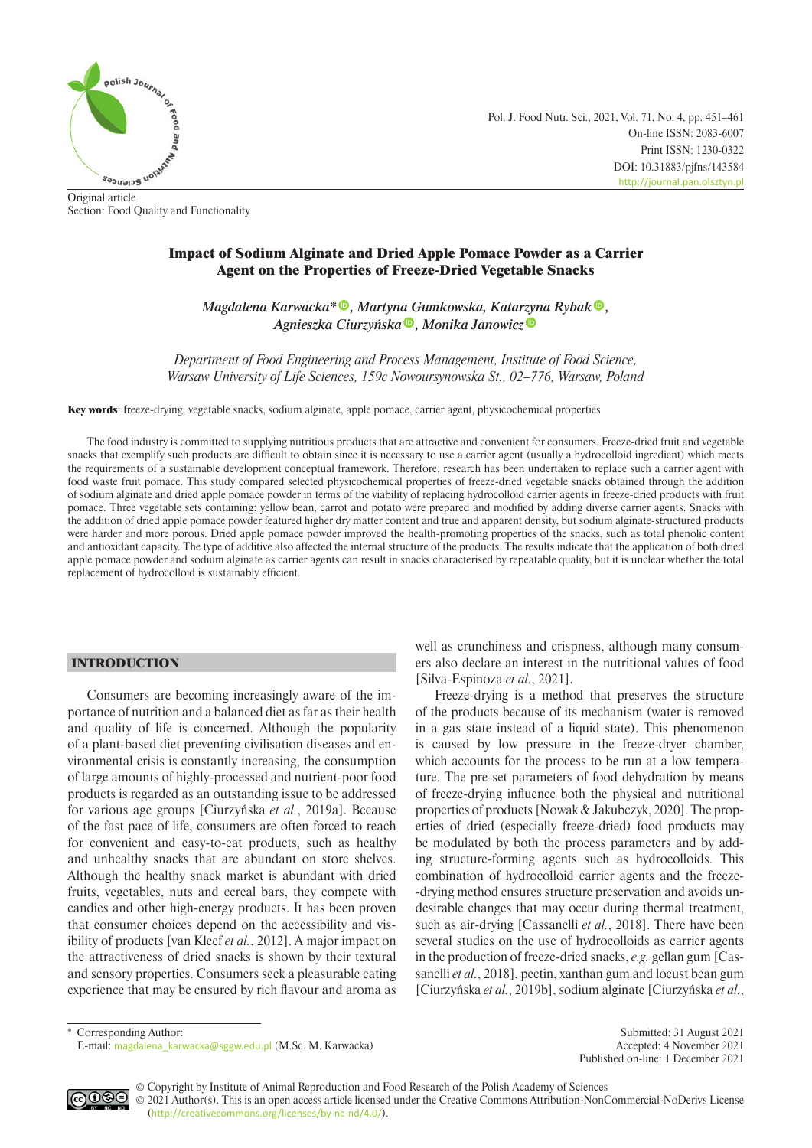

Original article Section: Food Quality and Functionality Pol. J. Food Nutr. Sci., 2021, Vol. 71, No. 4, pp. 451–461 On-line ISSN: 2083-6007 Print ISSN: 1230-0322 DOI: 10.31883/pjfns/143584 <http://journal.pan.olsztyn.pl>

# Impact of Sodium Alginate and Dried Apple Pomace Powder as a Carrier Agent on the Properties of Freeze-Dried Vegetable Snacks

*Magdalena Karwacka[\\*](https://orcid.org/0000-0002-5511-3251) , Martyn[a G](https://orcid.org/0000-0001-7263-0851)umkowska, Kata[rzyn](https://orcid.org/0000-0002-3790-3479)a Ryba[k](https://orcid.org/0000-0003-3595-0818) , Agnieszka Ciurzyńska , Monika Janowicz*

*Department of Food Engineering and Process Management, Institute of Food Science, Warsaw University of Life Sciences, 159c Nowoursynowska St., 02–776, Warsaw, Poland*

Key words: freeze-drying, vegetable snacks, sodium alginate, apple pomace, carrier agent, physicochemical properties

The food industry is committed to supplying nutritious products that are attractive and convenient for consumers. Freeze-dried fruit and vegetable snacks that exemplify such products are difficult to obtain since it is necessary to use a carrier agent (usually a hydrocolloid ingredient) which meets the requirements of a sustainable development conceptual framework. Therefore, research has been undertaken to replace such a carrier agent with food waste fruit pomace. This study compared selected physicochemical properties of freeze-dried vegetable snacks obtained through the addition of sodium alginate and dried apple pomace powder in terms of the viability of replacing hydrocolloid carrier agents in freeze-dried products with fruit pomace. Three vegetable sets containing: yellow bean, carrot and potato were prepared and modified by adding diverse carrier agents. Snacks with the addition of dried apple pomace powder featured higher dry matter content and true and apparent density, but sodium alginate-structured products were harder and more porous. Dried apple pomace powder improved the health-promoting properties of the snacks, such as total phenolic content and antioxidant capacity. The type of additive also affected the internal structure of the products. The results indicate that the application of both dried apple pomace powder and sodium alginate as carrier agents can result in snacks characterised by repeatable quality, but it is unclear whether the total replacement of hydrocolloid is sustainably efficient.

# INTRODUCTION

Consumers are becoming increasingly aware of the importance of nutrition and a balanced diet as far as their health and quality of life is concerned. Although the popularity of a plant-based diet preventing civilisation diseases and environmental crisis is constantly increasing, the consumption of large amounts of highly-processed and nutrient-poor food products is regarded as an outstanding issue to be addressed for various age groups [Ciurzyńska *et al.*, 2019a]. Because of the fast pace of life, consumers are often forced to reach for convenient and easy-to-eat products, such as healthy and unhealthy snacks that are abundant on store shelves. Although the healthy snack market is abundant with dried fruits, vegetables, nuts and cereal bars, they compete with candies and other high-energy products. It has been proven that consumer choices depend on the accessibility and visibility of products [van Kleef *et al.*, 2012]. A major impact on the attractiveness of dried snacks is shown by their textural and sensory properties. Consumers seek a pleasurable eating experience that may be ensured by rich flavour and aroma as well as crunchiness and crispness, although many consumers also declare an interest in the nutritional values of food [Silva-Espinoza *et al.*, 2021].

Freeze-drying is a method that preserves the structure of the products because of its mechanism (water is removed in a gas state instead of a liquid state). This phenomenon is caused by low pressure in the freeze-dryer chamber, which accounts for the process to be run at a low temperature. The pre-set parameters of food dehydration by means of freeze-drying influence both the physical and nutritional properties of products [Nowak & Jakubczyk, 2020]. The properties of dried (especially freeze-dried) food products may be modulated by both the process parameters and by adding structure-forming agents such as hydrocolloids. This combination of hydrocolloid carrier agents and the freeze- -drying method ensures structure preservation and avoids undesirable changes that may occur during thermal treatment, such as air-drying [Cassanelli *et al.*, 2018]. There have been several studies on the use of hydrocolloids as carrier agents in the production of freeze-dried snacks, *e.g.* gellan gum [Cassanelli *et al.*, 2018], pectin, xanthan gum and locust bean gum [Ciurzyńska *et al.*, 2019b], sodium alginate [Ciurzyńska *et al.*,

\* Corresponding Author: Submitted: 31 August 2021 E-mail: [magdalena\\_karwacka@sggw.edu.pl](mailto:magdalena_karwacka@sggw.edu.pl) (M.Sc. M. Karwacka) Accepted: 4 November 2021

Published on-line: 1 December 2021



© Copyright by Institute of Animal Reproduction and Food Research of the Polish Academy of Sciences © 2021 Author(s). This is an open access article licensed under the Creative Commons Attribution-NonCommercial-NoDerivs License ([http://creativecommons.org/licenses/by-nc-nd/4.0/](http://creativecommons.org/licenses/by-nc-nd/3.0/)).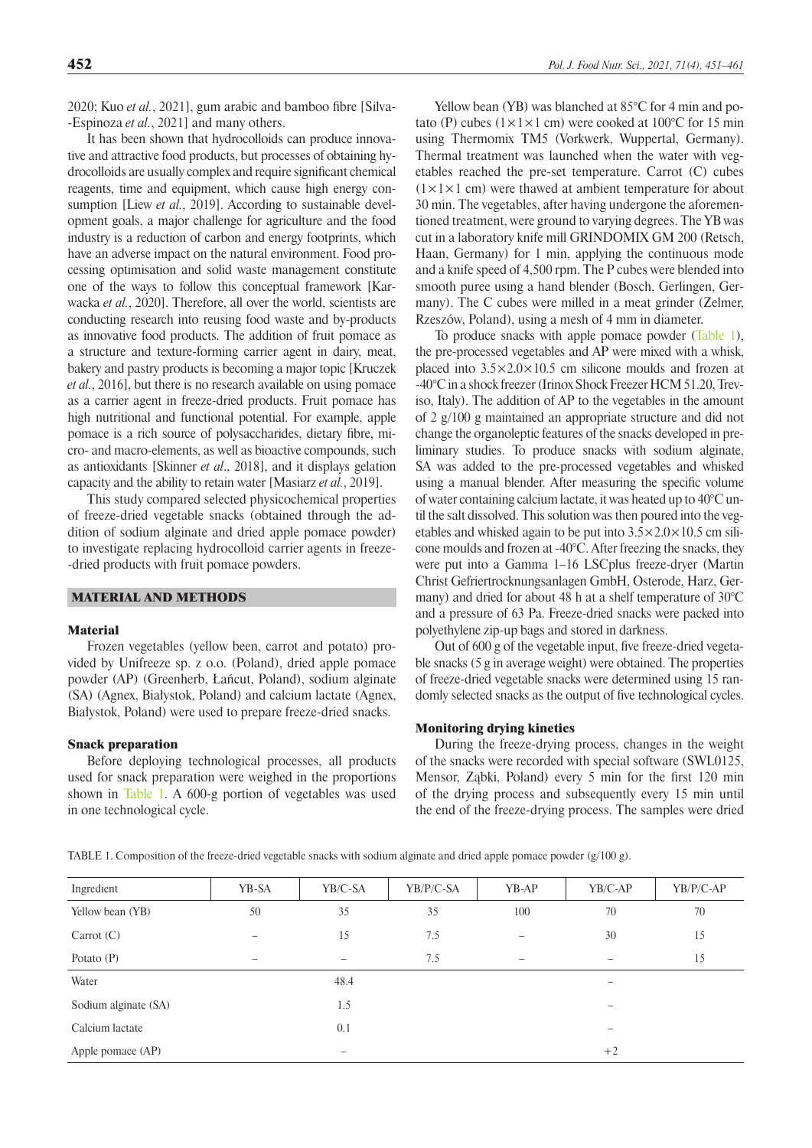2020; Kuo *et al.*, 2021], gum arabic and bamboo fibre [Silva- -Espinoza *et al.*, 2021] and many others.

It has been shown that hydrocolloids can produce innovative and attractive food products, but processes of obtaining hydrocolloids are usually complex and require significant chemical reagents, time and equipment, which cause high energy consumption [Liew *et al.*, 2019]. According to sustainable development goals, a major challenge for agriculture and the food industry is a reduction of carbon and energy footprints, which have an adverse impact on the natural environment. Food processing optimisation and solid waste management constitute one of the ways to follow this conceptual framework [Karwacka *et al.*, 2020]. Therefore, all over the world, scientists are conducting research into reusing food waste and by-products as innovative food products. The addition of fruit pomace as a structure and texture-forming carrier agent in dairy, meat, bakery and pastry products is becoming a major topic [Kruczek *et al.*, 2016], but there is no research available on using pomace as a carrier agent in freeze-dried products. Fruit pomace has high nutritional and functional potential. For example, apple pomace is a rich source of polysaccharides, dietary fibre, micro- and macro-elements, as well as bioactive compounds, such as antioxidants [Skinner *et al*., 2018], and it displays gelation capacity and the ability to retain water [Masiarz *et al.*, 2019].

This study compared selected physicochemical properties of freeze-dried vegetable snacks (obtained through the addition of sodium alginate and dried apple pomace powder) to investigate replacing hydrocolloid carrier agents in freeze- -dried products with fruit pomace powders.

## MATERIAL AND METHODS

## Material

Frozen vegetables (yellow been, carrot and potato) provided by Unifreeze sp. z o.o. (Poland), dried apple pomace powder (AP) (Greenherb, Łańcut, Poland), sodium alginate (SA) (Agnex, Białystok, Poland) and calcium lactate (Agnex, Białystok, Poland) were used to prepare freeze-dried snacks.

#### Snack preparation

Before deploying technological processes, all products used for snack preparation were weighed in the proportions shown in Table 1. A 600-g portion of vegetables was used in one technological cycle.

Yellow bean (YB) was blanched at 85°C for 4 min and potato (P) cubes  $(1 \times 1 \times 1$  cm) were cooked at 100°C for 15 min using Thermomix TM5 (Vorkwerk, Wuppertal, Germany). Thermal treatment was launched when the water with vegetables reached the pre-set temperature. Carrot (C) cubes  $(1 \times 1 \times 1$  cm) were thawed at ambient temperature for about 30 min. The vegetables, after having undergone the aforementioned treatment, were ground to varying degrees. The YB was cut in a laboratory knife mill GRINDOMIX GM 200 (Retsch, Haan, Germany) for 1 min, applying the continuous mode and a knife speed of 4,500 rpm. The P cubes were blended into smooth puree using a hand blender (Bosch, Gerlingen, Germany). The C cubes were milled in a meat grinder (Zelmer, Rzeszów, Poland), using a mesh of 4 mm in diameter.

To produce snacks with apple pomace powder [\(Table 1\)](#page-1-0), the pre-processed vegetables and AP were mixed with a whisk, placed into  $3.5 \times 2.0 \times 10.5$  cm silicone moulds and frozen at -40°C in a shock freezer (Irinox Shock Freezer HCM 51.20, Treviso, Italy). The addition of AP to the vegetables in the amount of 2 g/100 g maintained an appropriate structure and did not change the organoleptic features of the snacks developed in preliminary studies. To produce snacks with sodium alginate, SA was added to the pre-processed vegetables and whisked using a manual blender. After measuring the specific volume of water containing calcium lactate, it was heated up to 40°C until the salt dissolved. This solution was then poured into the vegetables and whisked again to be put into  $3.5 \times 2.0 \times 10.5$  cm silicone moulds and frozen at -40°C. After freezing the snacks, they were put into a Gamma 1–16 LSCplus freeze-dryer (Martin Christ Gefriertrocknungsanlagen GmbH, Osterode, Harz, Germany) and dried for about 48 h at a shelf temperature of 30°C and a pressure of 63 Pa. Freeze-dried snacks were packed into polyethylene zip-up bags and stored in darkness.

Out of 600 g of the vegetable input, five freeze-dried vegetable snacks (5 g in average weight) were obtained. The properties of freeze-dried vegetable snacks were determined using 15 randomly selected snacks as the output of five technological cycles.

## Monitoring drying kinetics

During the freeze-drying process, changes in the weight of the snacks were recorded with special software (SWL0125, Mensor, Ząbki, Poland) every 5 min for the first 120 min of the drying process and subsequently every 15 min until the end of the freeze-drying process. The samples were dried

<span id="page-1-0"></span>TABLE 1. Composition of the freeze-dried vegetable snacks with sodium alginate and dried apple pomace powder (g/100 g).

| Ingredient           | YB-SA | YB/C-SA                  | $YB/P/C-SA$ | YB-AP | YB/C-AP                  | YB/P/C-AP |
|----------------------|-------|--------------------------|-------------|-------|--------------------------|-----------|
| Yellow bean (YB)     | 50    | 35                       | 35          | 100   | 70                       | 70        |
| Carrot $(C)$         |       | 15                       | 7.5         |       | 30                       | 15        |
| Potato $(P)$         |       | $\overline{\phantom{0}}$ | 7.5         |       |                          | 15        |
| Water                |       | 48.4                     |             |       |                          |           |
| Sodium alginate (SA) |       | 1.5                      |             |       | -                        |           |
| Calcium lactate      |       | 0.1                      |             |       | $\overline{\phantom{0}}$ |           |
| Apple pomace (AP)    |       | $\qquad \qquad =$        |             |       | $+2$                     |           |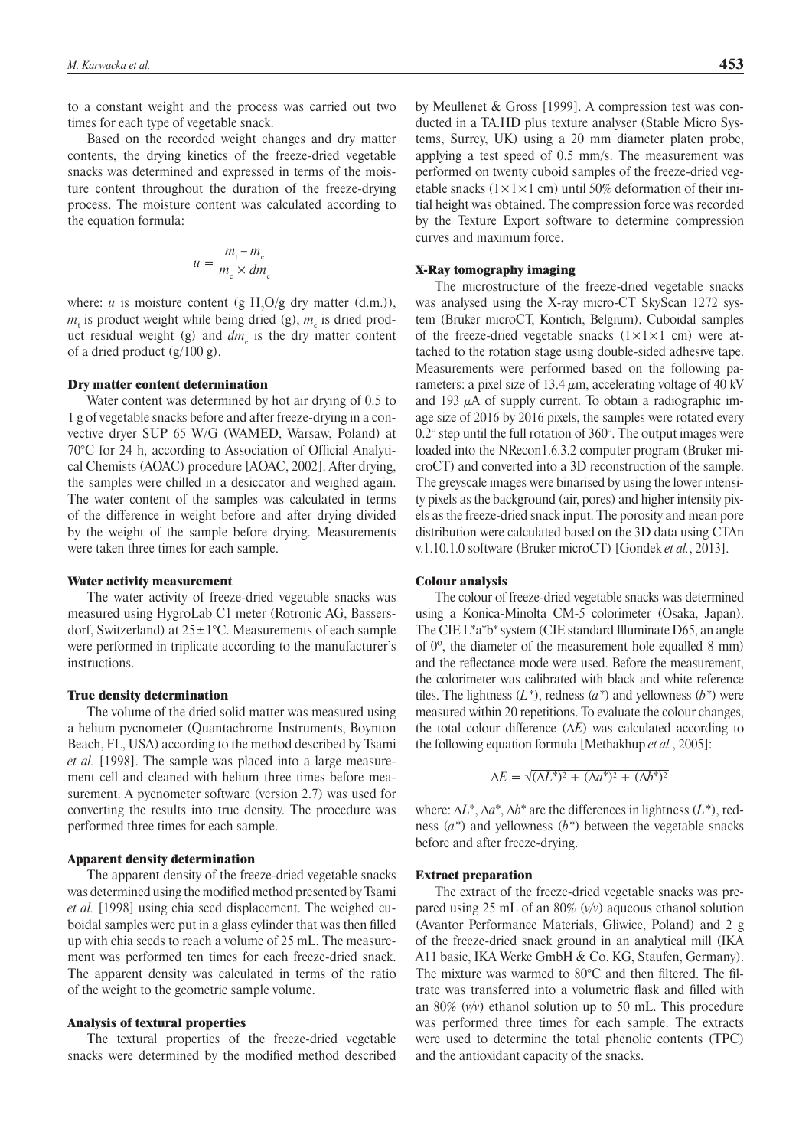to a constant weight and the process was carried out two times for each type of vegetable snack.

Based on the recorded weight changes and dry matter contents, the drying kinetics of the freeze-dried vegetable snacks was determined and expressed in terms of the moisture content throughout the duration of the freeze-drying process. The moisture content was calculated according to the equation formula:

$$
u = \frac{m_{\rm t} - m_{\rm e}}{m_{\rm e} \times dm_{\rm e}}
$$

where: *u* is moisture content (g  $H_2O/g$  dry matter (d.m.)),  $m<sub>t</sub>$  is product weight while being dried (g),  $m<sub>e</sub>$  is dried product residual weight (g) and  $dm_{\rm e}$  is the dry matter content of a dried product (g/100 g).

#### Dry matter content determination

Water content was determined by hot air drying of 0.5 to 1 g of vegetable snacks before and after freeze-drying in a convective dryer SUP 65 W/G (WAMED, Warsaw, Poland) at 70°C for 24 h, according to Association of Official Analytical Chemists (AOAC) procedure [AOAC, 2002]. After drying, the samples were chilled in a desiccator and weighed again. The water content of the samples was calculated in terms of the difference in weight before and after drying divided by the weight of the sample before drying. Measurements were taken three times for each sample.

#### Water activity measurement

The water activity of freeze-dried vegetable snacks was measured using HygroLab C1 meter (Rotronic AG, Bassersdorf, Switzerland) at  $25 \pm 1^{\circ}$ C. Measurements of each sample were performed in triplicate according to the manufacturer's **instructions** 

## True density determination

The volume of the dried solid matter was measured using a helium pycnometer (Quantachrome Instruments, Boynton Beach, FL, USA) according to the method described by Tsami *et al.* [1998]. The sample was placed into a large measurement cell and cleaned with helium three times before measurement. A pycnometer software (version 2.7) was used for converting the results into true density. The procedure was performed three times for each sample.

#### Apparent density determination

The apparent density of the freeze-dried vegetable snacks was determined using the modified method presented by Tsami *et al.* [1998] using chia seed displacement. The weighed cuboidal samples were put in a glass cylinder that was then filled up with chia seeds to reach a volume of 25 mL. The measurement was performed ten times for each freeze-dried snack. The apparent density was calculated in terms of the ratio of the weight to the geometric sample volume.

#### Analysis of textural properties

The textural properties of the freeze-dried vegetable snacks were determined by the modified method described

applying a test speed of 0.5 mm/s. The measurement was performed on twenty cuboid samples of the freeze-dried vegetable snacks  $(1 \times 1 \times 1$  cm) until 50% deformation of their initial height was obtained. The compression force was recorded by the Texture Export software to determine compression curves and maximum force.

## X-Ray tomography imaging

The microstructure of the freeze-dried vegetable snacks was analysed using the X-ray micro-CT SkyScan 1272 system (Bruker microCT, Kontich, Belgium). Cuboidal samples of the freeze-dried vegetable snacks  $(1 \times 1 \times 1$  cm) were attached to the rotation stage using double-sided adhesive tape. Measurements were performed based on the following parameters: a pixel size of 13.4  $\mu$ m, accelerating voltage of 40 kV and 193  $\mu$ A of supply current. To obtain a radiographic image size of 2016 by 2016 pixels, the samples were rotated every 0.2° step until the full rotation of 360°. The output images were loaded into the NRecon1.6.3.2 computer program (Bruker microCT) and converted into a 3D reconstruction of the sample. The greyscale images were binarised by using the lower intensity pixels as the background (air, pores) and higher intensity pixels as the freeze-dried snack input. The porosity and mean pore distribution were calculated based on the 3D data using CTAn v.1.10.1.0 software (Bruker microCT) [Gondek *et al.*, 2013].

#### Colour analysis

The colour of freeze-dried vegetable snacks was determined using a Konica-Minolta CM-5 colorimeter (Osaka, Japan). The CIE L\*a\*b\* system (CIE standard Illuminate D65, an angle of 0º, the diameter of the measurement hole equalled 8 mm) and the reflectance mode were used. Before the measurement, the colorimeter was calibrated with black and white reference tiles. The lightness (*L\**), redness (*a\**) and yellowness (*b\**) were measured within 20 repetitions. To evaluate the colour changes, the total colour difference (Δ*E*) was calculated according to the following equation formula [Methakhup *et al.*, 2005]:

$$
\Delta E = \sqrt{\left(\Delta L^*\right)^2 + \left(\Delta a^*\right)^2 + \left(\Delta b^*\right)^2}
$$

where: Δ*L*\*, Δ*a*\*, Δ*b*\* are the differences in lightness (*L\**), redness (*a\**) and yellowness (*b\**) between the vegetable snacks before and after freeze-drying.

## Extract preparation

The extract of the freeze-dried vegetable snacks was prepared using 25 mL of an 80% (*v/v*) aqueous ethanol solution (Avantor Performance Materials, Gliwice, Poland) and 2 g of the freeze-dried snack ground in an analytical mill (IKA A11 basic, IKA Werke GmbH & Co. KG, Staufen, Germany). The mixture was warmed to 80°C and then filtered. The filtrate was transferred into a volumetric flask and filled with an 80% (*v/v*) ethanol solution up to 50 mL. This procedure was performed three times for each sample. The extracts were used to determine the total phenolic contents (TPC) and the antioxidant capacity of the snacks.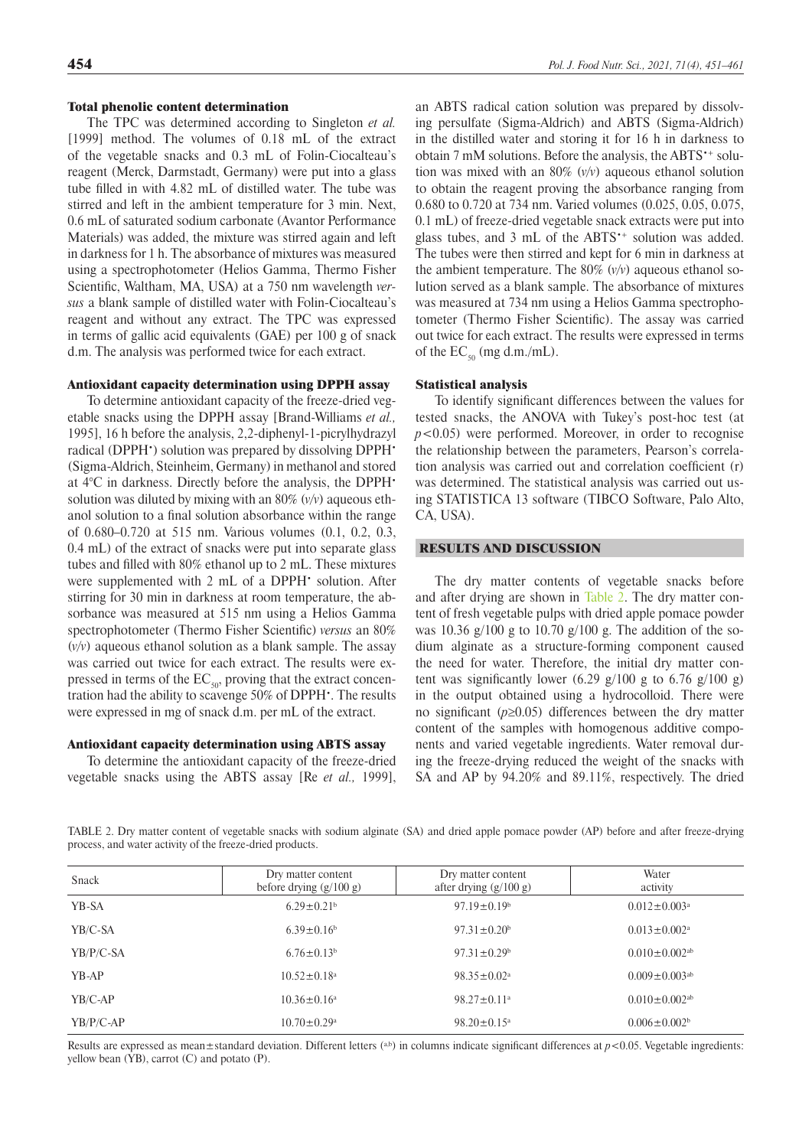# Total phenolic content determination

The TPC was determined according to Singleton *et al.* [1999] method. The volumes of 0.18 mL of the extract of the vegetable snacks and 0.3 mL of Folin-Ciocalteau's reagent (Merck, Darmstadt, Germany) were put into a glass tube filled in with 4.82 mL of distilled water. The tube was stirred and left in the ambient temperature for 3 min. Next, 0.6 mL of saturated sodium carbonate (Avantor Performance Materials) was added, the mixture was stirred again and left in darkness for 1 h. The absorbance of mixtures was measured using a spectrophotometer (Helios Gamma, Thermo Fisher Scientific, Waltham, MA, USA) at a 750 nm wavelength *versus* a blank sample of distilled water with Folin-Ciocalteau's reagent and without any extract. The TPC was expressed in terms of gallic acid equivalents (GAE) per 100 g of snack d.m. The analysis was performed twice for each extract.

## Antioxidant capacity determination using DPPH assay

To determine antioxidant capacity of the freeze-dried vegetable snacks using the DPPH assay [Brand-Williams *et al.,*  1995], 16 h before the analysis, 2,2-diphenyl-1-picrylhydrazyl radical (DPPH<sup>•</sup>) solution was prepared by dissolving DPPH<sup>•</sup> (Sigma-Aldrich, Steinheim, Germany) in methanol and stored at 4°C in darkness. Directly before the analysis, the DPPH• solution was diluted by mixing with an 80% (*v/v*) aqueous ethanol solution to a final solution absorbance within the range of 0.680–0.720 at 515 nm. Various volumes (0.1, 0.2, 0.3, 0.4 mL) of the extract of snacks were put into separate glass tubes and filled with 80% ethanol up to 2 mL. These mixtures were supplemented with 2 mL of a DPPH<sup>•</sup> solution. After stirring for 30 min in darkness at room temperature, the absorbance was measured at 515 nm using a Helios Gamma spectrophotometer (Thermo Fisher Scientific) *versus* an 80% (*v/v*) aqueous ethanol solution as a blank sample. The assay was carried out twice for each extract. The results were expressed in terms of the  $EC_{50}$ , proving that the extract concentration had the ability to scavenge 50% of DPPH $\cdot$ . The results were expressed in mg of snack d.m. per mL of the extract.

## Antioxidant capacity determination using ABTS assay

To determine the antioxidant capacity of the freeze-dried vegetable snacks using the ABTS assay [Re *et al.,* 1999],

an ABTS radical cation solution was prepared by dissolving persulfate (Sigma-Aldrich) and ABTS (Sigma-Aldrich) in the distilled water and storing it for 16 h in darkness to obtain 7 mM solutions. Before the analysis, the ABTS<sup>\*+</sup> solution was mixed with an 80% (*v/v*) aqueous ethanol solution to obtain the reagent proving the absorbance ranging from 0.680 to 0.720 at 734 nm. Varied volumes (0.025, 0.05, 0.075, 0.1 mL) of freeze-dried vegetable snack extracts were put into glass tubes, and 3 mL of the ABTS<sup>\*+</sup> solution was added. The tubes were then stirred and kept for 6 min in darkness at the ambient temperature. The 80% (*v/v*) aqueous ethanol solution served as a blank sample. The absorbance of mixtures was measured at 734 nm using a Helios Gamma spectrophotometer (Thermo Fisher Scientific). The assay was carried out twice for each extract. The results were expressed in terms of the  $EC_{50}$  (mg d.m./mL).

## Statistical analysis

To identify significant differences between the values for tested snacks, the ANOVA with Tukey's post-hoc test (at *p*<0.05) were performed. Moreover, in order to recognise the relationship between the parameters, Pearson's correlation analysis was carried out and correlation coefficient (r) was determined. The statistical analysis was carried out using STATISTICA 13 software (TIBCO Software, Palo Alto, CA, USA).

# RESULTS AND DISCUSSION

The dry matter contents of vegetable snacks before and after drying are shown in [Table 2.](#page-3-0) The dry matter content of fresh vegetable pulps with dried apple pomace powder was 10.36  $g/100$  g to 10.70  $g/100$  g. The addition of the sodium alginate as a structure-forming component caused the need for water. Therefore, the initial dry matter content was significantly lower  $(6.29 \text{ g}/100 \text{ g} \text{ to } 6.76 \text{ g}/100 \text{ g})$ in the output obtained using a hydrocolloid. There were no significant (*p*≥0.05) differences between the dry matter content of the samples with homogenous additive components and varied vegetable ingredients. Water removal during the freeze-drying reduced the weight of the snacks with SA and AP by 94.20% and 89.11%, respectively. The dried

<span id="page-3-0"></span>TABLE 2. Dry matter content of vegetable snacks with sodium alginate (SA) and dried apple pomace powder (AP) before and after freeze-drying process, and water activity of the freeze-dried products.

| Snack       | Dry matter content<br>before drying $(g/100 g)$ | Dry matter content<br>after drying $(g/100 g)$ | Water<br>activity               |
|-------------|-------------------------------------------------|------------------------------------------------|---------------------------------|
| YB-SA       | $6.29 \pm 0.21$ <sup>b</sup>                    | $97.19 \pm 0.19^b$                             | $0.012 \pm 0.003$ <sup>a</sup>  |
| YB/C-SA     | $6.39 \pm 0.16^b$                               | $97.31 \pm 0.20^b$                             | $0.013 \pm 0.002$ <sup>a</sup>  |
| $YB/P/C-SA$ | $6.76 \pm 0.13^b$                               | $97.31 \pm 0.29^b$                             | $0.010 \pm 0.002$ <sup>ab</sup> |
| $YB-AP$     | $10.52 \pm 0.18$ <sup>a</sup>                   | $98.35 \pm 0.02^{\circ}$                       | $0.009 \pm 0.003$ <sup>ab</sup> |
| YB/C-AP     | $10.36 \pm 0.16^a$                              | $98.27 \pm 0.11$ <sup>a</sup>                  | $0.010 \pm 0.002$ <sup>ab</sup> |
| $YB/P/C-AP$ | $10.70 \pm 0.29$ <sup>a</sup>                   | $98.20 \pm 0.15$ <sup>a</sup>                  | $0.006 \pm 0.002$               |

Results are expressed as mean $\pm$ standard deviation. Different letters (a,b) in columns indicate significant differences at  $p$  <0.05. Vegetable ingredients: yellow bean (YB), carrot (C) and potato (P).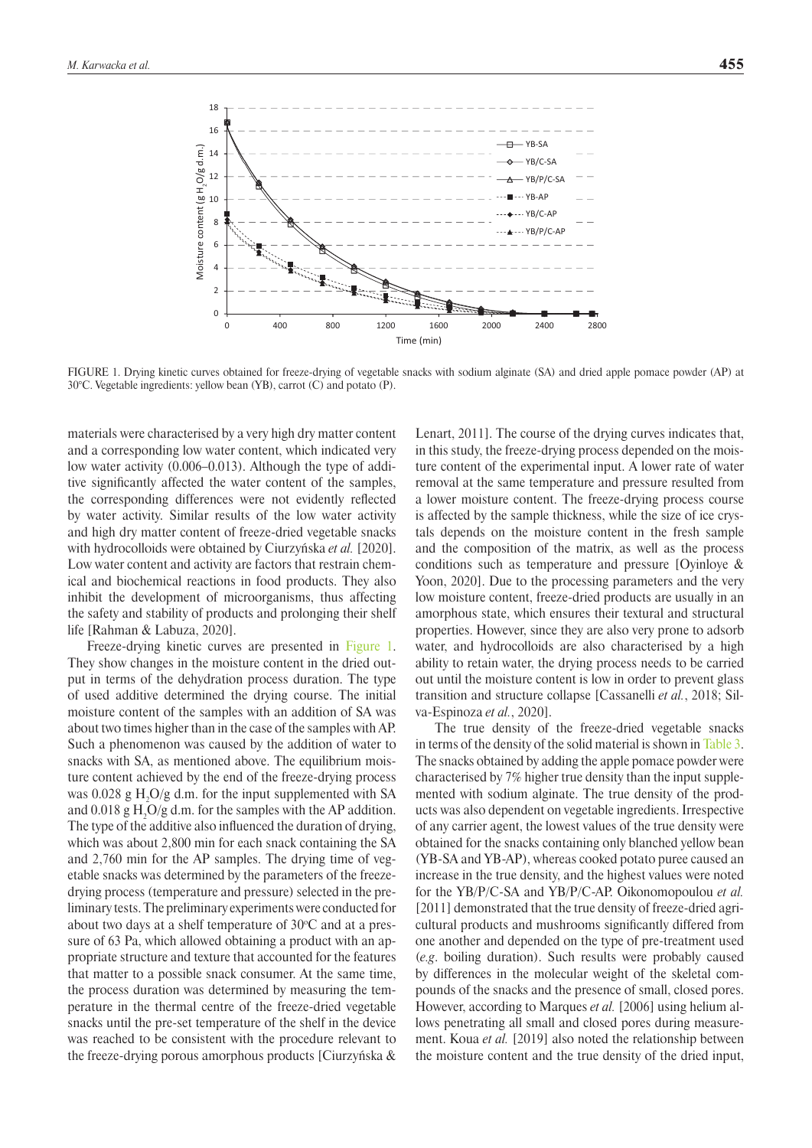<span id="page-4-0"></span>

FIGURE 1. Drying kinetic curves obtained for freeze-drying of vegetable snacks with sodium alginate (SA) and dried apple pomace powder (AP) at 30°C. Vegetable ingredients: yellow bean (YB), carrot (C) and potato (P).

materials were characterised by a very high dry matter content and a corresponding low water content, which indicated very low water activity (0.006–0.013). Although the type of additive significantly affected the water content of the samples, the corresponding differences were not evidently reflected by water activity. Similar results of the low water activity and high dry matter content of freeze-dried vegetable snacks with hydrocolloids were obtained by Ciurzyńska *et al.* [2020]. Low water content and activity are factors that restrain chemical and biochemical reactions in food products. They also inhibit the development of microorganisms, thus affecting the safety and stability of products and prolonging their shelf life [Rahman & Labuza, 2020].

Freeze-drying kinetic curves are presented in [Figure 1](#page-4-0). They show changes in the moisture content in the dried output in terms of the dehydration process duration. The type of used additive determined the drying course. The initial moisture content of the samples with an addition of SA was about two times higher than in the case of the samples with AP. Such a phenomenon was caused by the addition of water to snacks with SA, as mentioned above. The equilibrium moisture content achieved by the end of the freeze-drying process was  $0.028$  g  $H<sub>2</sub>O/g$  d.m. for the input supplemented with SA and  $0.018$  g H<sub>2</sub>O/g d.m. for the samples with the AP addition. The type of the additive also influenced the duration of drying, which was about 2,800 min for each snack containing the SA and 2,760 min for the AP samples. The drying time of vegetable snacks was determined by the parameters of the freezedrying process (temperature and pressure) selected in the preliminary tests. The preliminary experiments were conducted for about two days at a shelf temperature of 30°C and at a pressure of 63 Pa, which allowed obtaining a product with an appropriate structure and texture that accounted for the features that matter to a possible snack consumer. At the same time, the process duration was determined by measuring the temperature in the thermal centre of the freeze-dried vegetable snacks until the pre-set temperature of the shelf in the device was reached to be consistent with the procedure relevant to the freeze-drying porous amorphous products [Ciurzyńska &

Lenart, 2011]. The course of the drying curves indicates that, in this study, the freeze-drying process depended on the moisture content of the experimental input. A lower rate of water removal at the same temperature and pressure resulted from a lower moisture content. The freeze-drying process course is affected by the sample thickness, while the size of ice crystals depends on the moisture content in the fresh sample and the composition of the matrix, as well as the process conditions such as temperature and pressure [Oyinloye & Yoon, 2020]. Due to the processing parameters and the very low moisture content, freeze-dried products are usually in an amorphous state, which ensures their textural and structural properties. However, since they are also very prone to adsorb water, and hydrocolloids are also characterised by a high ability to retain water, the drying process needs to be carried out until the moisture content is low in order to prevent glass transition and structure collapse [Cassanelli *et al.*, 2018; Silva-Espinoza *et al.*, 2020].

The true density of the freeze-dried vegetable snacks in terms of the density of the solid material is shown in [Table 3](#page-5-0). The snacks obtained by adding the apple pomace powder were characterised by 7% higher true density than the input supplemented with sodium alginate. The true density of the products was also dependent on vegetable ingredients. Irrespective of any carrier agent, the lowest values of the true density were obtained for the snacks containing only blanched yellow bean (YB-SA and YB-AP), whereas cooked potato puree caused an increase in the true density, and the highest values were noted for the YB/P/C-SA and YB/P/C-AP. Oikonomopoulou *et al.* [2011] demonstrated that the true density of freeze-dried agricultural products and mushrooms significantly differed from one another and depended on the type of pre-treatment used (*e.g*. boiling duration). Such results were probably caused by differences in the molecular weight of the skeletal compounds of the snacks and the presence of small, closed pores. However, according to Marques *et al.* [2006] using helium allows penetrating all small and closed pores during measurement. Koua *et al.* [2019] also noted the relationship between the moisture content and the true density of the dried input,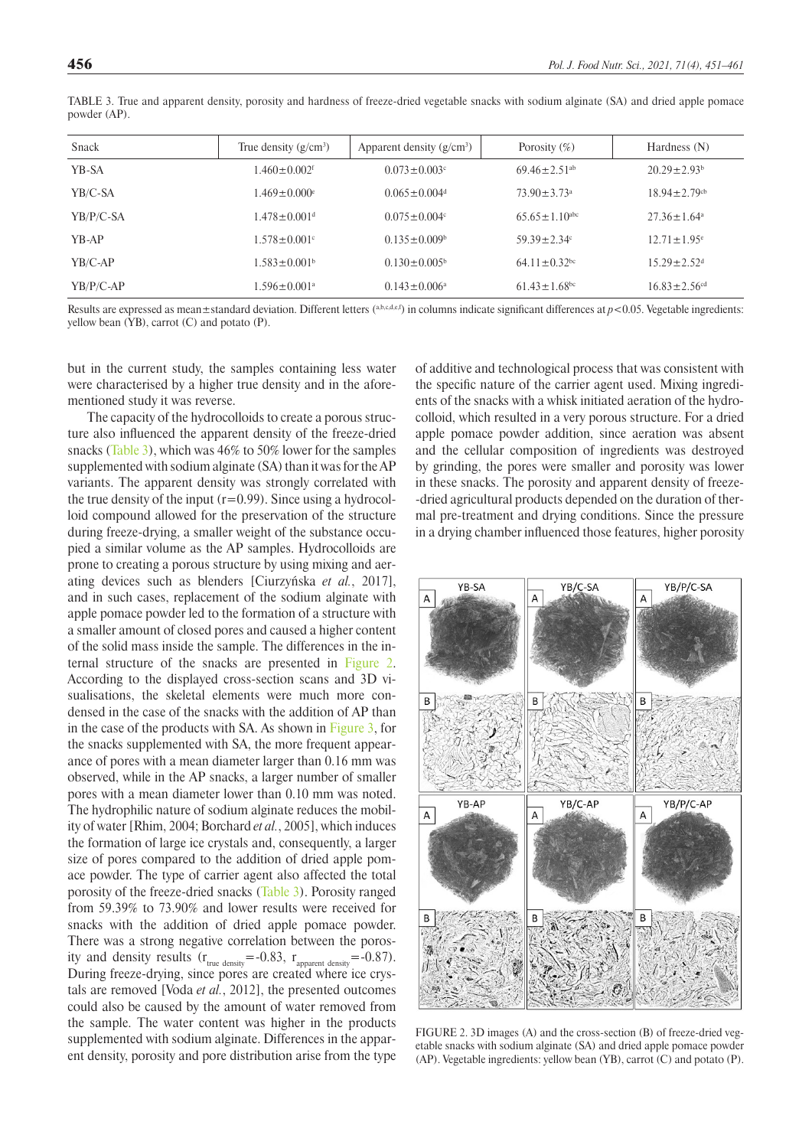| Snack       | True density $(g/cm^3)$        | Apparent density $(g/cm3)$     | Porosity $(\%)$                 | Hardness $(N)$                 |
|-------------|--------------------------------|--------------------------------|---------------------------------|--------------------------------|
| YB-SA       | $1.460 \pm 0.002$ <sup>f</sup> | $0.073 \pm 0.003$ °            | $69.46 \pm 2.51$ <sup>ab</sup>  | $20.29 \pm 2.93^b$             |
| YB/C-SA     | $1.469 \pm 0.000$ <sup>e</sup> | $0.065 \pm 0.004$ <sup>d</sup> | $73.90 \pm 3.73$ <sup>a</sup>   | $18.94 \pm 2.79$ <sup>cb</sup> |
| YB/P/C-SA   | $1.478 \pm 0.001$ <sup>d</sup> | $0.075 \pm 0.004$ c            | $65.65 \pm 1.10$ <sup>abc</sup> | $27.36 \pm 1.64$ <sup>a</sup>  |
| YB-AP       | $1.578 \pm 0.001$ <sup>c</sup> | $0.135 \pm 0.009$              | $59.39 \pm 2.34$ °              | $12.71 \pm 1.95^{\circ}$       |
| YB/C-AP     | $1.583 \pm 0.001$ <sup>b</sup> | $0.130 \pm 0.005^{\circ}$      | $64.11 \pm 0.32$ <sup>bc</sup>  | $15.29 \pm 2.52$ <sup>d</sup>  |
| $YB/P/C-AP$ | $1.596 \pm 0.001^{\rm a}$      | $0.143 \pm 0.006^a$            | $61.43 \pm 1.68$ <sup>bc</sup>  | $16.83 \pm 2.56$ <sup>cd</sup> |

<span id="page-5-0"></span>TABLE 3. True and apparent density, porosity and hardness of freeze-dried vegetable snacks with sodium alginate (SA) and dried apple pomace powder (AP).

Results are expressed as mean±standard deviation. Different letters (a,b,c,d,e,f) in columns indicate significant differences at  $p$ <0.05. Vegetable ingredients: yellow bean (YB), carrot (C) and potato (P).

but in the current study, the samples containing less water were characterised by a higher true density and in the aforementioned study it was reverse.

The capacity of the hydrocolloids to create a porous structure also influenced the apparent density of the freeze-dried snacks [\(Table 3](#page-5-0)), which was 46% to 50% lower for the samples supplemented with sodium alginate (SA) than it was for the AP variants. The apparent density was strongly correlated with the true density of the input  $(r=0.99)$ . Since using a hydrocolloid compound allowed for the preservation of the structure during freeze-drying, a smaller weight of the substance occupied a similar volume as the AP samples. Hydrocolloids are prone to creating a porous structure by using mixing and aerating devices such as blenders [Ciurzyńska *et al.*, 2017], and in such cases, replacement of the sodium alginate with apple pomace powder led to the formation of a structure with a smaller amount of closed pores and caused a higher content of the solid mass inside the sample. The differences in the internal structure of the snacks are presented in [Figure 2](#page-5-1). According to the displayed cross-section scans and 3D visualisations, the skeletal elements were much more condensed in the case of the snacks with the addition of AP than in the case of the products with SA. As shown in [Figure 3](#page-6-0), for the snacks supplemented with SA, the more frequent appearance of pores with a mean diameter larger than 0.16 mm was observed, while in the AP snacks, a larger number of smaller pores with a mean diameter lower than 0.10 mm was noted. The hydrophilic nature of sodium alginate reduces the mobility of water [Rhim, 2004; Borchard *et al.*, 2005], which induces the formation of large ice crystals and, consequently, a larger size of pores compared to the addition of dried apple pomace powder. The type of carrier agent also affected the total porosity of the freeze-dried snacks [\(Table 3](#page-5-0)). Porosity ranged from 59.39% to 73.90% and lower results were received for snacks with the addition of dried apple pomace powder. There was a strong negative correlation between the porosity and density results  $(r_{true\ density} = -0.83, r_{apparent\ density} = -0.87)$ . During freeze-drying, since pores are created where ice crystals are removed [Voda *et al.*, 2012], the presented outcomes could also be caused by the amount of water removed from the sample. The water content was higher in the products supplemented with sodium alginate. Differences in the apparent density, porosity and pore distribution arise from the type of additive and technological process that was consistent with the specific nature of the carrier agent used. Mixing ingredients of the snacks with a whisk initiated aeration of the hydrocolloid, which resulted in a very porous structure. For a dried apple pomace powder addition, since aeration was absent and the cellular composition of ingredients was destroyed by grinding, the pores were smaller and porosity was lower in these snacks. The porosity and apparent density of freeze- -dried agricultural products depended on the duration of thermal pre-treatment and drying conditions. Since the pressure in a drying chamber influenced those features, higher porosity

<span id="page-5-1"></span>

FIGURE 2. 3D images (A) and the cross-section (B) of freeze-dried vegetable snacks with sodium alginate (SA) and dried apple pomace powder (AP). Vegetable ingredients: yellow bean (YB), carrot (C) and potato (P).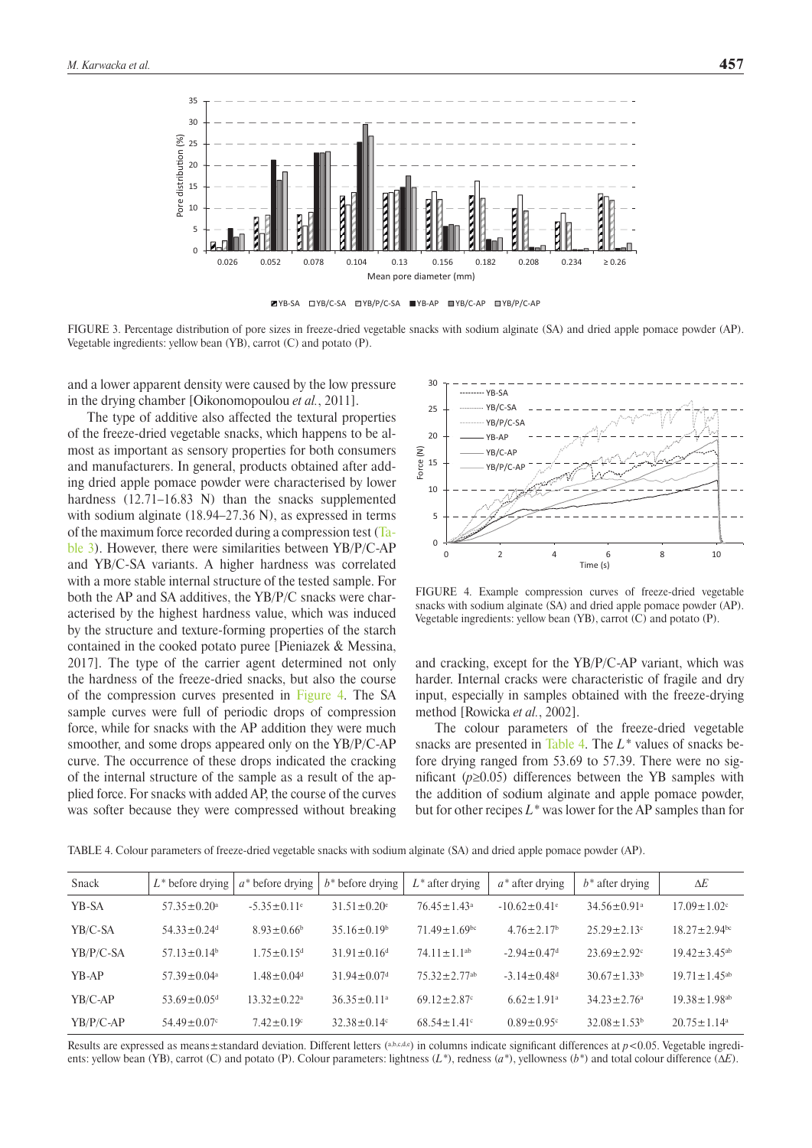<span id="page-6-0"></span>



FIGURE 3. Percentage distribution of pore sizes in freeze-dried vegetable snacks with sodium alginate (SA) and dried apple pomace powder (AP). Vegetable ingredients: yellow bean (YB), carrot (C) and potato (P).

and a lower apparent density were caused by the low pressure in the drying chamber [Oikonomopoulou *et al.*, 2011].

The type of additive also affected the textural properties of the freeze-dried vegetable snacks, which happens to be almost as important as sensory properties for both consumers and manufacturers. In general, products obtained after adding dried apple pomace powder were characterised by lower hardness (12.71–16.83 N) than the snacks supplemented with sodium alginate (18.94–27.36 N), as expressed in terms of the maximum force recorded during a compression test ([Ta](#page-5-0)[ble 3](#page-5-0)). However, there were similarities between YB/P/C-AP and YB/C-SA variants. A higher hardness was correlated with a more stable internal structure of the tested sample. For both the AP and SA additives, the YB/P/C snacks were characterised by the highest hardness value, which was induced by the structure and texture-forming properties of the starch contained in the cooked potato puree [Pieniazek & Messina, 2017]. The type of the carrier agent determined not only the hardness of the freeze-dried snacks, but also the course of the compression curves presented in [Figure 4](#page-6-1). The SA sample curves were full of periodic drops of compression force, while for snacks with the AP addition they were much smoother, and some drops appeared only on the YB/P/C-AP curve. The occurrence of these drops indicated the cracking of the internal structure of the sample as a result of the applied force. For snacks with added AP, the course of the curves was softer because they were compressed without breaking

<span id="page-6-1"></span>

FIGURE 4. Example compression curves of freeze-dried vegetable snacks with sodium alginate (SA) and dried apple pomace powder (AP). Vegetable ingredients: yellow bean (YB), carrot (C) and potato (P).

and cracking, except for the YB/P/C-AP variant, which was harder. Internal cracks were characteristic of fragile and dry input, especially in samples obtained with the freeze-drying method [Rowicka *et al.*, 2002].

The colour parameters of the freeze-dried vegetable snacks are presented in [Table 4.](#page-6-2) The *L\** values of snacks before drying ranged from 53.69 to 57.39. There were no significant (*p*≥0.05) differences between the YB samples with the addition of sodium alginate and apple pomace powder, but for other recipes *L\** was lower for the AP samples than for

<span id="page-6-2"></span>TABLE 4. Colour parameters of freeze-dried vegetable snacks with sodium alginate (SA) and dried apple pomace powder (AP).

| Snack       | $L^*$ before drying           | $a^*$ before drying           | $b^*$ before drying       | $L^*$ after drying             | $a^*$ after drying            | $b^*$ after drying            | $\Delta E$                     |
|-------------|-------------------------------|-------------------------------|---------------------------|--------------------------------|-------------------------------|-------------------------------|--------------------------------|
| YB-SA       | $57.35 \pm 0.20^{\circ}$      | $-5.35 \pm 0.11$ <sup>e</sup> | $31.51 + 0.20$            | $76.45 \pm 1.43$ <sup>a</sup>  | $-10.62 \pm 0.41$ °           | $34.56 \pm 0.91$ <sup>a</sup> | $17.09 \pm 1.02$ °             |
| YB/C-SA     | $54.33 + 0.24$ d              | $8.93 \pm 0.66^b$             | $35.16 \pm 0.19^b$        | $71\,49+1\,69$ <sup>bc</sup>   | $4.76 \pm 2.17$ <sup>b</sup>  | $25.29 \pm 2.13$ °            | $18.27 \pm 2.94$ <sup>bc</sup> |
| YB/P/C-SA   | $57.13 \pm 0.14^b$            | $1.75 \pm 0.15^d$             | $31.91 \pm 0.16^{\circ}$  | $7411+11^{ab}$                 | $-2.94 \pm 0.47$ <sup>d</sup> | $23.69 \pm 2.92$ <sup>c</sup> | $19.42 \pm 3.45^{\text{ab}}$   |
| $YB-AP$     | $57.39 \pm 0.04$ <sup>a</sup> | $1.48 + 0.04d$                | $3194 + 007$ <sup>d</sup> | $75.32 \pm 2.77$ <sup>ab</sup> | $-3.14 \pm 0.48$ <sup>d</sup> | $30.67 \pm 1.33^b$            | $19\ 71 + 1\ 45$ <sup>ab</sup> |
| $YB/C-AP$   | $53.69 \pm 0.05$ <sup>d</sup> | $13.32 \pm 0.22^a$            | $36.35 \pm 0.11^a$        | $69.12 \pm 2.87$ °             | $6.62 \pm 1.91$ <sup>a</sup>  | $34.23 \pm 2.76^{\circ}$      | $19.38 \pm 1.98$ <sup>ab</sup> |
| $YB/P/C-AP$ | $54.49 \pm 0.07$ °            | $7.42 \pm 0.19$ °             | $32.38 \pm 0.14$ °        | $68.54 \pm 1.41$ °             | $0.89 \pm 0.95$ <sup>c</sup>  | $32.08 \pm 1.53^b$            | $20.75 + 1.14$ <sup>a</sup>    |

Results are expressed as means $\pm$ standard deviation. Different letters (a,b,c,d,e) in columns indicate significant differences at  $p$ <0.05. Vegetable ingredients: yellow bean (YB), carrot (C) and potato (P). Colour parameters: lightness (*L\**), redness (*a\**), yellowness (*b\**) and total colour difference (Δ*E*).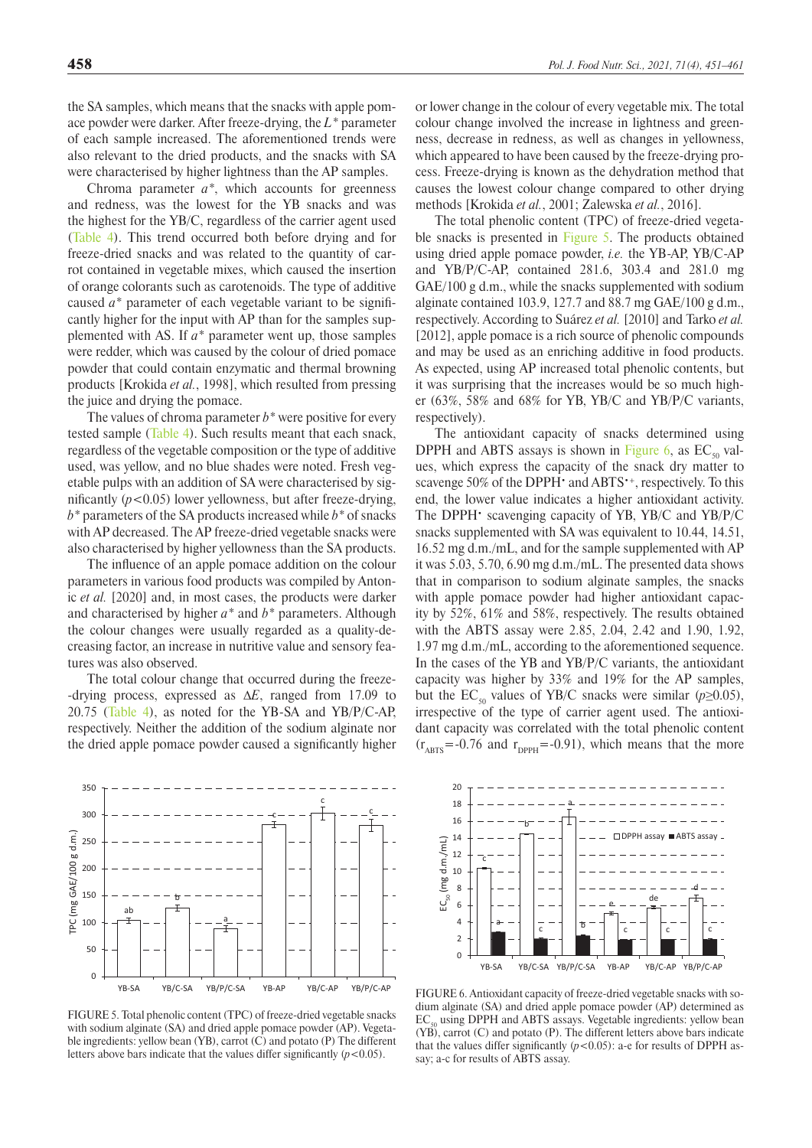the SA samples, which means that the snacks with apple pomace powder were darker. After freeze-drying, the *L\** parameter of each sample increased. The aforementioned trends were also relevant to the dried products, and the snacks with SA were characterised by higher lightness than the AP samples.

Chroma parameter *a\**, which accounts for greenness and redness, was the lowest for the YB snacks and was the highest for the YB/C, regardless of the carrier agent used ([Table 4](#page-6-2)). This trend occurred both before drying and for freeze-dried snacks and was related to the quantity of carrot contained in vegetable mixes, which caused the insertion of orange colorants such as carotenoids. The type of additive caused *a\** parameter of each vegetable variant to be significantly higher for the input with AP than for the samples supplemented with AS. If *a\** parameter went up, those samples were redder, which was caused by the colour of dried pomace powder that could contain enzymatic and thermal browning products [Krokida *et al.*, 1998], which resulted from pressing the juice and drying the pomace.

The values of chroma parameter *b\** were positive for every tested sample ([Table 4\)](#page-6-2). Such results meant that each snack, regardless of the vegetable composition or the type of additive used, was yellow, and no blue shades were noted. Fresh vegetable pulps with an addition of SA were characterised by significantly  $(p<0.05)$  lower yellowness, but after freeze-drying, *b\** parameters of the SA products increased while *b\** of snacks with AP decreased. The AP freeze-dried vegetable snacks were also characterised by higher yellowness than the SA products.

The influence of an apple pomace addition on the colour parameters in various food products was compiled by Antonic *et al.* [2020] and, in most cases, the products were darker and characterised by higher *a\** and *b\** parameters. Although the colour changes were usually regarded as a quality-decreasing factor, an increase in nutritive value and sensory features was also observed.

The total colour change that occurred during the freeze- -drying process, expressed as Δ*E*, ranged from 17.09 to 20.75 [\(Table 4](#page-6-2)), as noted for the YB-SA and YB/P/C-AP, respectively. Neither the addition of the sodium alginate nor the dried apple pomace powder caused a significantly higher

FIGURE 5. Total phenolic content (TPC) of freeze-dried vegetable snacks with sodium alginate (SA) and dried apple pomace powder (AP). Vegetable ingredients: yellow bean (YB), carrot (C) and potato (P) The different letters above bars indicate that the values differ significantly  $(p<0.05)$ .

or lower change in the colour of every vegetable mix. The total colour change involved the increase in lightness and greenness, decrease in redness, as well as changes in yellowness, which appeared to have been caused by the freeze-drying process. Freeze-drying is known as the dehydration method that causes the lowest colour change compared to other drying methods [Krokida *et al.*, 2001; Zalewska *et al.*, 2016].

The total phenolic content (TPC) of freeze-dried vegetable snacks is presented in Figure 5. The products obtained using dried apple pomace powder, *i.e.* the YB-AP, YB/C-AP and YB/P/C-AP, contained 281.6, 303.4 and 281.0 mg GAE/100 g d.m., while the snacks supplemented with sodium alginate contained 103.9, 127.7 and 88.7 mg GAE/100 g d.m., respectively. According to Suárez *et al.* [2010] and Tarko *et al.* [2012], apple pomace is a rich source of phenolic compounds and may be used as an enriching additive in food products. As expected, using AP increased total phenolic contents, but it was surprising that the increases would be so much higher (63%, 58% and 68% for YB, YB/C and YB/P/C variants, respectively).

The antioxidant capacity of snacks determined using DPPH and ABTS assays is shown in [Figure 6,](#page-7-1) as  $EC_{50}$  values, which express the capacity of the snack dry matter to scavenge 50% of the DPPH<sup>•</sup> and ABTS<sup>•+</sup>, respectively. To this end, the lower value indicates a higher antioxidant activity. The DPPH• scavenging capacity of YB, YB/C and YB/P/C snacks supplemented with SA was equivalent to 10.44, 14.51, 16.52 mg d.m./mL, and for the sample supplemented with AP it was 5.03, 5.70, 6.90 mg d.m./mL. The presented data shows that in comparison to sodium alginate samples, the snacks with apple pomace powder had higher antioxidant capacity by 52%, 61% and 58%, respectively. The results obtained with the ABTS assay were 2.85, 2.04, 2.42 and 1.90, 1.92, 1.97 mg d.m./mL, according to the aforementioned sequence. In the cases of the YB and YB/P/C variants, the antioxidant capacity was higher by 33% and 19% for the AP samples, but the  $EC_{50}$  values of YB/C snacks were similar ( $p \ge 0.05$ ), irrespective of the type of carrier agent used. The antioxidant capacity was correlated with the total phenolic content  $(r<sub>ABTS</sub>=-0.76$  and  $r<sub>DPPH</sub>=-0.91$ , which means that the more

FIGURE 6. Antioxidant capacity of freeze-dried vegetable snacks with sodium alginate (SA) and dried apple pomace powder (AP) determined as  $EC<sub>50</sub>$  using DPPH and ABTS assays. Vegetable ingredients: yellow bean (YB), carrot (C) and potato (P). The different letters above bars indicate that the values differ significantly  $(p<0.05)$ : a-e for results of DPPH assay; a-c for results of ABTS assay.

<span id="page-7-1"></span>

<span id="page-7-0"></span>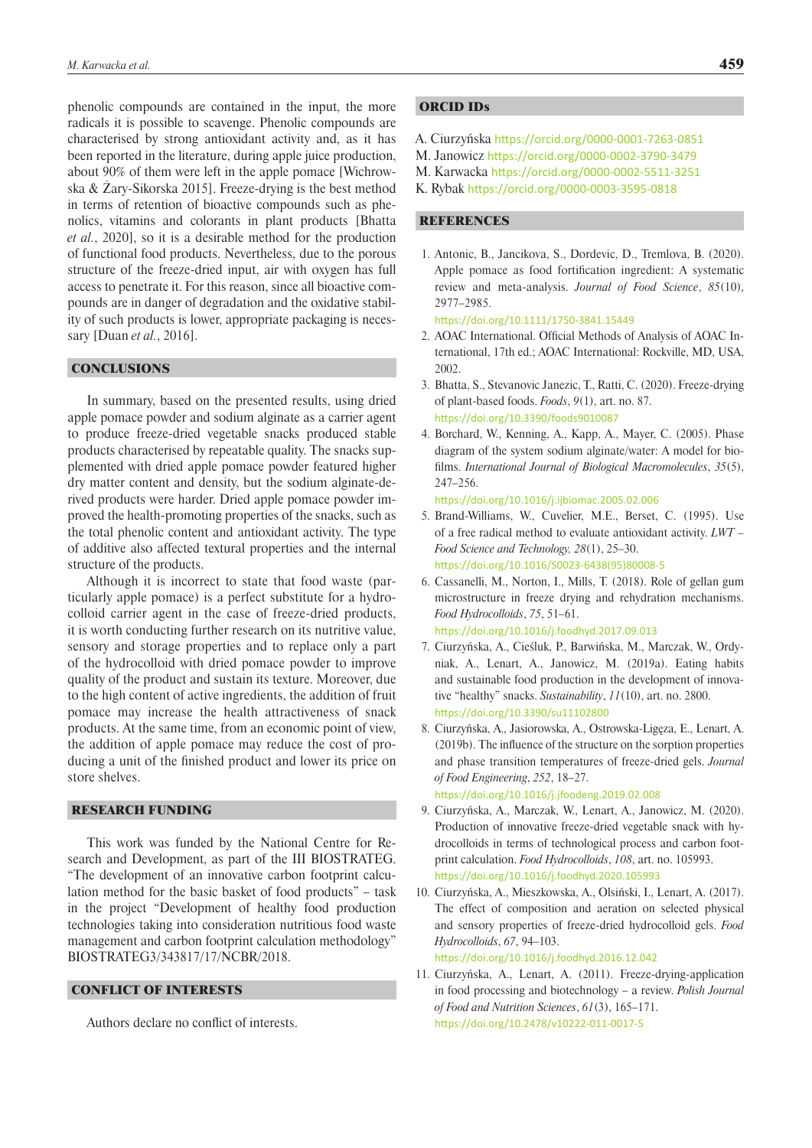phenolic compounds are contained in the input, the more radicals it is possible to scavenge. Phenolic compounds are characterised by strong antioxidant activity and, as it has been reported in the literature, during apple juice production, about 90% of them were left in the apple pomace [Wichrowska & Żary-Sikorska 2015]. Freeze-drying is the best method in terms of retention of bioactive compounds such as phenolics, vitamins and colorants in plant products [Bhatta *et al.*, 2020], so it is a desirable method for the production of functional food products. Nevertheless, due to the porous structure of the freeze-dried input, air with oxygen has full access to penetrate it. For this reason, since all bioactive compounds are in danger of degradation and the oxidative stability of such products is lower, appropriate packaging is necessary [Duan *et al.*, 2016].

# **CONCLUSIONS**

In summary, based on the presented results, using dried apple pomace powder and sodium alginate as a carrier agent to produce freeze-dried vegetable snacks produced stable products characterised by repeatable quality. The snacks supplemented with dried apple pomace powder featured higher dry matter content and density, but the sodium alginate-derived products were harder. Dried apple pomace powder improved the health-promoting properties of the snacks, such as the total phenolic content and antioxidant activity. The type of additive also affected textural properties and the internal structure of the products.

Although it is incorrect to state that food waste (particularly apple pomace) is a perfect substitute for a hydrocolloid carrier agent in the case of freeze-dried products, it is worth conducting further research on its nutritive value, sensory and storage properties and to replace only a part of the hydrocolloid with dried pomace powder to improve quality of the product and sustain its texture. Moreover, due to the high content of active ingredients, the addition of fruit pomace may increase the health attractiveness of snack products. At the same time, from an economic point of view, the addition of apple pomace may reduce the cost of producing a unit of the finished product and lower its price on store shelves.

## RESEARCH FUNDING

This work was funded by the National Centre for Research and Development, as part of the III BIOSTRATEG. "The development of an innovative carbon footprint calculation method for the basic basket of food products" – task in the project "Development of healthy food production technologies taking into consideration nutritious food waste management and carbon footprint calculation methodology" BIOSTRATEG3/343817/17/NCBR/2018.

# CONFLICT OF INTERESTS

Authors declare no conflict of interests.

# ORCID IDs

- A. Ciurzyńska <https://orcid.org/0000-0001-7263-0851>
- M. Janowicz <https://orcid.org/0000-0002-3790-3479>
- M. Karwacka <https://orcid.org/0000-0002-5511-3251>
- K. Rybak <https://orcid.org/0000-0003-3595-0818>

# **REFERENCES**

1. Antonic, B., Jancikova, S., Dordevic, D., Tremlova, B. (2020). Apple pomace as food fortification ingredient: A systematic review and meta-analysis. *Journal of Food Science*, *85*(10), 2977–2985.

<https://doi.org/10.1111/1750-3841.15449>

- 2. AOAC International. Official Methods of Analysis of AOAC International, 17th ed.; AOAC International: Rockville, MD, USA, 2002.
- 3. Bhatta, S., Stevanovic Janezic, T., Ratti, C. (2020). Freeze-drying of plant-based foods. *Foods*, *9*(1), art. no. 87. <https://doi.org/10.3390/foods9010087>
- 4. Borchard, W., Kenning, A., Kapp, A., Mayer, C. (2005). Phase diagram of the system sodium alginate/water: A model for biofilms. *International Journal of Biological Macromolecules*, *35*(5), 247–256.

<https://doi.org/10.1016/j.ijbiomac.2005.02.006>

- 5. Brand-Williams, W., Cuvelier, M.E., Berset, C. (1995). Use of a free radical method to evaluate antioxidant activity. *LWT – Food Science and Technology, 28*(1), 25–30. [https://doi.org/10.1016/S0023-6438\(95\)80008-5](https://doi.org/10.1016/S0023-6438(95)80008-5)
- 6. Cassanelli, M., Norton, I., Mills, T. (2018). Role of gellan gum microstructure in freeze drying and rehydration mechanisms. *Food Hydrocolloids*, *75*, 51–61. https://doi.org/10.1016/j.foodhyd.2017.09.013
- 7. Ciurzyńska, A., Cieśluk, P., Barwińska, M., Marczak, W., Ordyniak, A., Lenart, A., Janowicz, M. (2019a). Eating habits and sustainable food production in the development of innovative "healthy" snacks. *Sustainability*, *11*(10), art. no. 2800. <https://doi.org/10.3390/su11102800>
- 8. Ciurzyńska, A., Jasiorowska, A., Ostrowska-Ligęza, E., Lenart, A. (2019b). The influence of the structure on the sorption properties and phase transition temperatures of freeze-dried gels. *Journal of Food Engineering*, *252*, 18–27.

<https://doi.org/10.1016/j.jfoodeng.2019.02.008>

- 9. Ciurzyńska, A., Marczak, W., Lenart, A., Janowicz, M. (2020). Production of innovative freeze-dried vegetable snack with hydrocolloids in terms of technological process and carbon footprint calculation. *Food Hydrocolloids*, *108*, art. no. 105993. <https://doi.org/10.1016/j.foodhyd.2020.105993>
- 10. Ciurzyńska, A., Mieszkowska, A., Olsiński, I., Lenart, A. (2017). The effect of composition and aeration on selected physical and sensory properties of freeze-dried hydrocolloid gels. *Food Hydrocolloids*, *67*, 94–103. <https://doi.org/10.1016/j.foodhyd.2016.12.042>
- 11. Ciurzyńska, A., Lenart, A. (2011). Freeze-drying-application in food processing and biotechnology – a review. *Polish Journal of Food and Nutrition Sciences*, *61*(3), 165–171. <https://doi.org/10.2478/v10222-011-0017-5>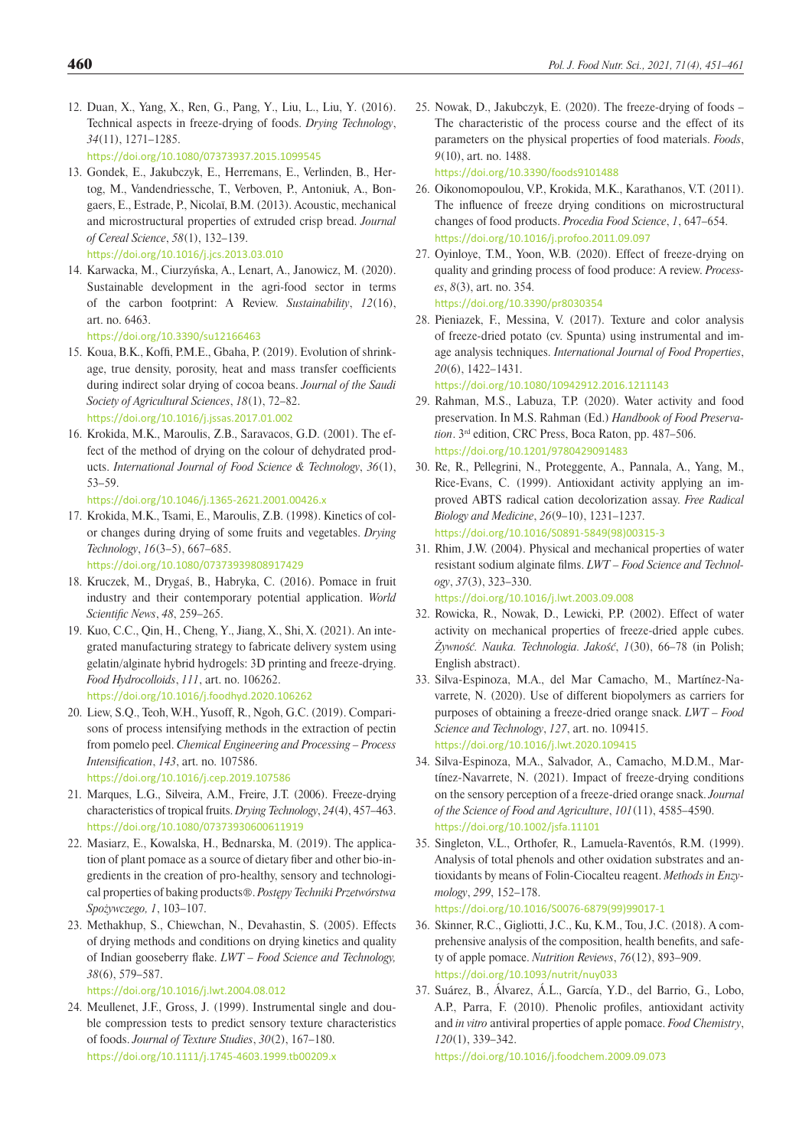- 12. Duan, X., Yang, X., Ren, G., Pang, Y., Liu, L., Liu, Y. (2016). Technical aspects in freeze-drying of foods. *Drying Technology*, *34*(11), 1271–1285. <https://doi.org/10.1080/07373937.2015.1099545>
- 13. Gondek, E., Jakubczyk, E., Herremans, E., Verlinden, B., Hertog, M., Vandendriessche, T., Verboven, P., Antoniuk, A., Bongaers, E., Estrade, P., Nicolaï, B.M. (2013). Acoustic, mechanical and microstructural properties of extruded crisp bread. *Journal of Cereal Science*, *58*(1), 132–139. <https://doi.org/10.1016/j.jcs.2013.03.010>
- 14. Karwacka, M., Ciurzyńska, A., Lenart, A., Janowicz, M. (2020). Sustainable development in the agri-food sector in terms of the carbon footprint: A Review. *Sustainability*, *12*(16), art. no. 6463.

<https://doi.org/10.3390/su12166463>

- 15. Koua, B.K., Koffi, P.M.E., Gbaha, P. (2019). Evolution of shrinkage, true density, porosity, heat and mass transfer coefficients during indirect solar drying of cocoa beans. *Journal of the Saudi Society of Agricultural Sciences*, *18*(1), 72–82. <https://doi.org/10.1016/j.jssas.2017.01.002>
- 16. Krokida, M.K., Maroulis, Z.B., Saravacos, G.D. (2001). The effect of the method of drying on the colour of dehydrated products. *International Journal of Food Science & Technology*, *36*(1), 53–59.

<https://doi.org/10.1046/j.1365-2621.2001.00426.x>

- 17. Krokida, M.K., Tsami, E., Maroulis, Z.B. (1998). Kinetics of color changes during drying of some fruits and vegetables. *Drying Technology*, *16*(3–5), 667–685. <https://doi.org/10.1080/07373939808917429>
- 18. Kruczek, M., Drygaś, B., Habryka, C. (2016). Pomace in fruit industry and their contemporary potential application. *World Scientific News*, *48*, 259–265.
- 19. Kuo, C.C., Qin, H., Cheng, Y., Jiang, X., Shi, X. (2021). An integrated manufacturing strategy to fabricate delivery system using gelatin/alginate hybrid hydrogels: 3D printing and freeze-drying. *Food Hydrocolloids*, *111*, art. no. 106262. <https://doi.org/10.1016/j.foodhyd.2020.106262>
- 20. Liew, S.Q., Teoh, W.H., Yusoff, R., Ngoh, G.C. (2019). Comparisons of process intensifying methods in the extraction of pectin from pomelo peel. *Chemical Engineering and Processing – Process Intensification*, *143*, art. no. 107586.

<https://doi.org/10.1016/j.cep.2019.107586>

- 21. Marques, L.G., Silveira, A.M., Freire, J.T. (2006). Freeze-drying characteristics of tropical fruits. *Drying Technology*, *24*(4), 457–463. <https://doi.org/10.1080/07373930600611919>
- 22. Masiarz, E., Kowalska, H., Bednarska, M. (2019). The application of plant pomace as a source of dietary fiber and other bio-ingredients in the creation of pro-healthy, sensory and technological properties of baking products®. *Postępy Techniki Przetwórstwa Spożywczego, 1*, 103–107.
- 23. Methakhup, S., Chiewchan, N., Devahastin, S. (2005). Effects of drying methods and conditions on drying kinetics and quality of Indian gooseberry flake. *LWT – Food Science and Technology, 38*(6), 579–587.

<https://doi.org/10.1016/j.lwt.2004.08.012>

24. Meullenet, J.F., Gross, J. (1999). Instrumental single and double compression tests to predict sensory texture characteristics of foods. *Journal of Texture Studies*, *30*(2), 167–180. <https://doi.org/10.1111/j.1745-4603.1999.tb00209.x>

25. Nowak, D., Jakubczyk, E. (2020). The freeze-drying of foods – The characteristic of the process course and the effect of its parameters on the physical properties of food materials. *Foods*, *9*(10), art. no. 1488.

<https://doi.org/10.3390/foods9101488>

- 26. Oikonomopoulou, V.P., Krokida, M.K., Karathanos, V.T. (2011). The influence of freeze drying conditions on microstructural changes of food products. *Procedia Food Science*, *1*, 647–654. <https://doi.org/10.1016/j.profoo.2011.09.097>
- 27. Oyinloye, T.M., Yoon, W.B. (2020). Effect of freeze-drying on quality and grinding process of food produce: A review. *Processes*, *8*(3), art. no. 354.

<https://doi.org/10.3390/pr8030354>

28. Pieniazek, F., Messina, V. (2017). Texture and color analysis of freeze-dried potato (cv. Spunta) using instrumental and image analysis techniques. *International Journal of Food Properties*, *20*(6), 1422–1431.

<https://doi.org/10.1080/10942912.2016.1211143>

- 29. Rahman, M.S., Labuza, T.P. (2020). Water activity and food preservation. In M.S. Rahman (Ed.) *Handbook of Food Preservation*. 3rd edition, CRC Press, Boca Raton, pp. 487–506. <https://doi.org/10.1201/9780429091483>
- 30. Re, R., Pellegrini, N., Proteggente, A., Pannala, A., Yang, M., Rice-Evans, C. (1999). Antioxidant activity applying an improved ABTS radical cation decolorization assay. *Free Radical Biology and Medicine*, *26*(9–10), 1231–1237. [https://doi.org/10.1016/S0891-5849\(98\)00315-3](https://doi.org/10.1016/S0891-5849(98)00315-3)
- 31. Rhim, J.W. (2004). Physical and mechanical properties of water resistant sodium alginate films. *LWT – Food Science and Technology*, *37*(3), 323–330. <https://doi.org/10.1016/j.lwt.2003.09.008>
- 32. Rowicka, R., Nowak, D., Lewicki, P.P. (2002). Effect of water activity on mechanical properties of freeze-dried apple cubes. *Żywność. Nauka. Technologia. Jakość*, *1*(30), 66–78 (in Polish; English abstract).
- 33. Silva-Espinoza, M.A., del Mar Camacho, M., Martínez-Navarrete, N. (2020). Use of different biopolymers as carriers for purposes of obtaining a freeze-dried orange snack. *LWT – Food Science and Technology*, *127*, art. no. 109415. <https://doi.org/10.1016/j.lwt.2020.109415>
- 34. Silva-Espinoza, M.A., Salvador, A., Camacho, M.D.M., Martínez-Navarrete, N. (2021). Impact of freeze-drying conditions on the sensory perception of a freeze-dried orange snack. *Journal of the Science of Food and Agriculture*, *101*(11), 4585–4590. <https://doi.org/10.1002/jsfa.11101>
- 35. Singleton, V.L., Orthofer, R., Lamuela-Raventós, R.M. (1999). Analysis of total phenols and other oxidation substrates and antioxidants by means of Folin-Ciocalteu reagent. *Methods in Enzymology*, *299*, 152–178.

[https://doi.org/10.1016/S0076-6879\(99\)99017-1](https://doi.org/10.1016/S0076-6879(99)99017-1)

- 36. Skinner, R.C., Gigliotti, J.C., Ku, K.M., Tou, J.C. (2018). A comprehensive analysis of the composition, health benefits, and safety of apple pomace. *Nutrition Reviews*, *76*(12), 893–909. <https://doi.org/10.1093/nutrit/nuy033>
- 37. Suárez, B., Álvarez, Á.L., García, Y.D., del Barrio, G., Lobo, A.P., Parra, F. (2010). Phenolic profiles, antioxidant activity and *in vitro* antiviral properties of apple pomace. *Food Chemistry*, *120*(1), 339–342.

<https://doi.org/10.1016/j.foodchem.2009.09.073>